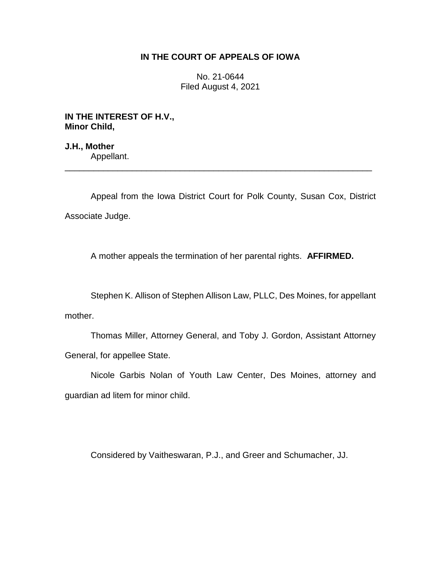## **IN THE COURT OF APPEALS OF IOWA**

No. 21-0644 Filed August 4, 2021

**IN THE INTEREST OF H.V., Minor Child,**

**J.H., Mother** Appellant. \_\_\_\_\_\_\_\_\_\_\_\_\_\_\_\_\_\_\_\_\_\_\_\_\_\_\_\_\_\_\_\_\_\_\_\_\_\_\_\_\_\_\_\_\_\_\_\_\_\_\_\_\_\_\_\_\_\_\_\_\_\_\_\_

Appeal from the Iowa District Court for Polk County, Susan Cox, District Associate Judge.

A mother appeals the termination of her parental rights. **AFFIRMED.**

Stephen K. Allison of Stephen Allison Law, PLLC, Des Moines, for appellant mother.

Thomas Miller, Attorney General, and Toby J. Gordon, Assistant Attorney General, for appellee State.

Nicole Garbis Nolan of Youth Law Center, Des Moines, attorney and guardian ad litem for minor child.

Considered by Vaitheswaran, P.J., and Greer and Schumacher, JJ.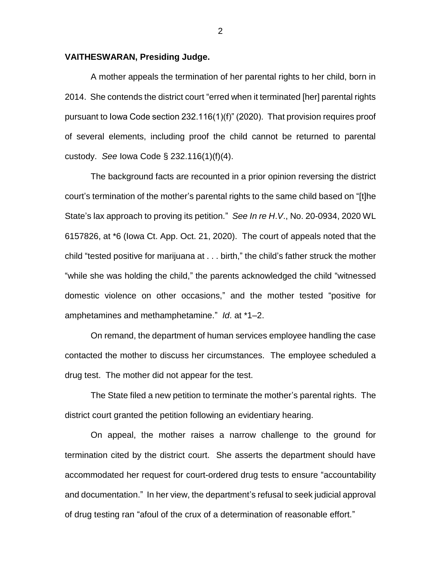## **VAITHESWARAN, Presiding Judge.**

A mother appeals the termination of her parental rights to her child, born in 2014. She contends the district court "erred when it terminated [her] parental rights pursuant to Iowa Code section 232.116(1)(f)" (2020). That provision requires proof of several elements, including proof the child cannot be returned to parental custody. *See* Iowa Code § 232.116(1)(f)(4).

The background facts are recounted in a prior opinion reversing the district court's termination of the mother's parental rights to the same child based on "[t]he State's lax approach to proving its petition." *See In re H*.*V*., No. 20-0934, 2020 WL 6157826, at \*6 (Iowa Ct. App. Oct. 21, 2020). The court of appeals noted that the child "tested positive for marijuana at . . . birth," the child's father struck the mother "while she was holding the child," the parents acknowledged the child "witnessed domestic violence on other occasions," and the mother tested "positive for amphetamines and methamphetamine." *Id*. at \*1–2.

On remand, the department of human services employee handling the case contacted the mother to discuss her circumstances. The employee scheduled a drug test. The mother did not appear for the test.

The State filed a new petition to terminate the mother's parental rights. The district court granted the petition following an evidentiary hearing.

On appeal, the mother raises a narrow challenge to the ground for termination cited by the district court. She asserts the department should have accommodated her request for court-ordered drug tests to ensure "accountability and documentation." In her view, the department's refusal to seek judicial approval of drug testing ran "afoul of the crux of a determination of reasonable effort."

2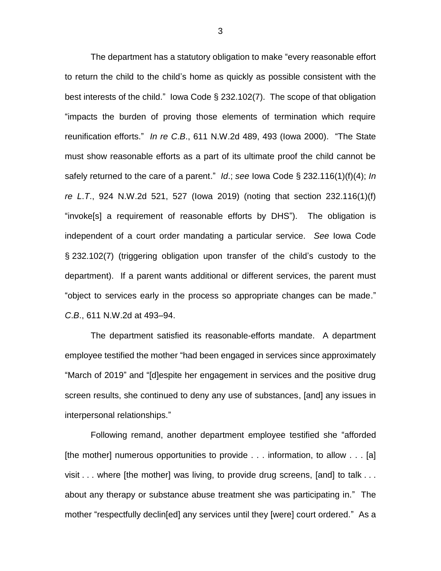The department has a statutory obligation to make "every reasonable effort to return the child to the child's home as quickly as possible consistent with the best interests of the child." Iowa Code § 232.102(7). The scope of that obligation "impacts the burden of proving those elements of termination which require reunification efforts." *In re C*.*B*., 611 N.W.2d 489, 493 (Iowa 2000). "The State must show reasonable efforts as a part of its ultimate proof the child cannot be safely returned to the care of a parent." *Id*.; *see* Iowa Code § 232.116(1)(f)(4); *In re L*.*T*., 924 N.W.2d 521, 527 (Iowa 2019) (noting that section 232.116(1)(f) "invoke[s] a requirement of reasonable efforts by DHS"). The obligation is independent of a court order mandating a particular service. *See* Iowa Code § 232.102(7) (triggering obligation upon transfer of the child's custody to the department). If a parent wants additional or different services, the parent must "object to services early in the process so appropriate changes can be made." *C*.*B*., 611 N.W.2d at 493–94.

The department satisfied its reasonable-efforts mandate. A department employee testified the mother "had been engaged in services since approximately "March of 2019" and "[d]espite her engagement in services and the positive drug screen results, she continued to deny any use of substances, [and] any issues in interpersonal relationships."

Following remand, another department employee testified she "afforded [the mother] numerous opportunities to provide . . . information, to allow . . . [a] visit . . . where [the mother] was living, to provide drug screens, [and] to talk . . . about any therapy or substance abuse treatment she was participating in." The mother "respectfully declin[ed] any services until they [were] court ordered." As a

3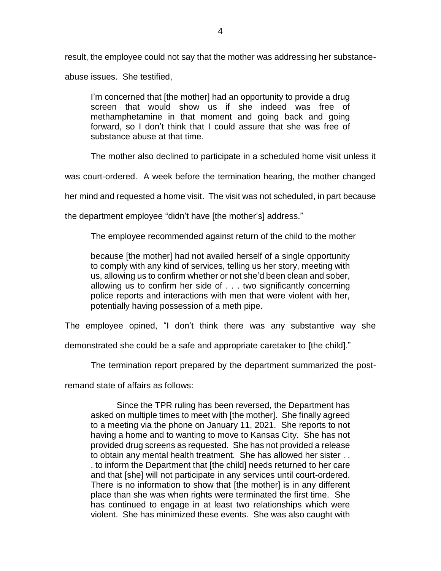result, the employee could not say that the mother was addressing her substanceabuse issues. She testified,

I'm concerned that [the mother] had an opportunity to provide a drug screen that would show us if she indeed was free of methamphetamine in that moment and going back and going forward, so I don't think that I could assure that she was free of substance abuse at that time.

The mother also declined to participate in a scheduled home visit unless it

was court-ordered. A week before the termination hearing, the mother changed

her mind and requested a home visit. The visit was not scheduled, in part because

the department employee "didn't have [the mother's] address."

The employee recommended against return of the child to the mother

because [the mother] had not availed herself of a single opportunity to comply with any kind of services, telling us her story, meeting with us, allowing us to confirm whether or not she'd been clean and sober, allowing us to confirm her side of . . . two significantly concerning police reports and interactions with men that were violent with her, potentially having possession of a meth pipe.

The employee opined, "I don't think there was any substantive way she

demonstrated she could be a safe and appropriate caretaker to [the child]."

The termination report prepared by the department summarized the post-

remand state of affairs as follows:

Since the TPR ruling has been reversed, the Department has asked on multiple times to meet with [the mother]. She finally agreed to a meeting via the phone on January 11, 2021. She reports to not having a home and to wanting to move to Kansas City. She has not provided drug screens as requested. She has not provided a release to obtain any mental health treatment. She has allowed her sister . . . to inform the Department that [the child] needs returned to her care and that [she] will not participate in any services until court-ordered. There is no information to show that [the mother] is in any different place than she was when rights were terminated the first time. She has continued to engage in at least two relationships which were violent. She has minimized these events. She was also caught with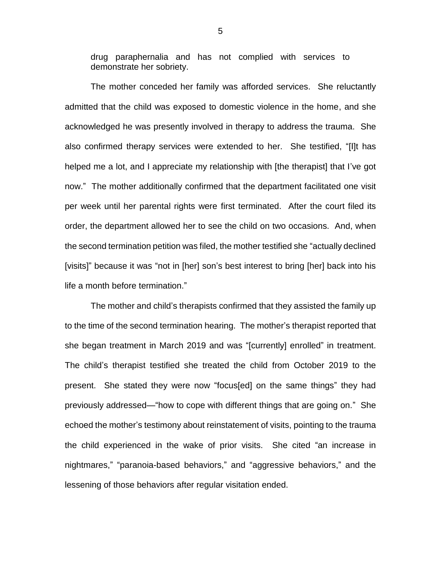drug paraphernalia and has not complied with services to demonstrate her sobriety.

The mother conceded her family was afforded services. She reluctantly admitted that the child was exposed to domestic violence in the home, and she acknowledged he was presently involved in therapy to address the trauma. She also confirmed therapy services were extended to her. She testified, "[I]t has helped me a lot, and I appreciate my relationship with [the therapist] that I've got now." The mother additionally confirmed that the department facilitated one visit per week until her parental rights were first terminated. After the court filed its order, the department allowed her to see the child on two occasions. And, when the second termination petition was filed, the mother testified she "actually declined [visits]" because it was "not in [her] son's best interest to bring [her] back into his life a month before termination."

The mother and child's therapists confirmed that they assisted the family up to the time of the second termination hearing. The mother's therapist reported that she began treatment in March 2019 and was "[currently] enrolled" in treatment. The child's therapist testified she treated the child from October 2019 to the present. She stated they were now "focus[ed] on the same things" they had previously addressed—"how to cope with different things that are going on." She echoed the mother's testimony about reinstatement of visits, pointing to the trauma the child experienced in the wake of prior visits. She cited "an increase in nightmares," "paranoia-based behaviors," and "aggressive behaviors," and the lessening of those behaviors after regular visitation ended.